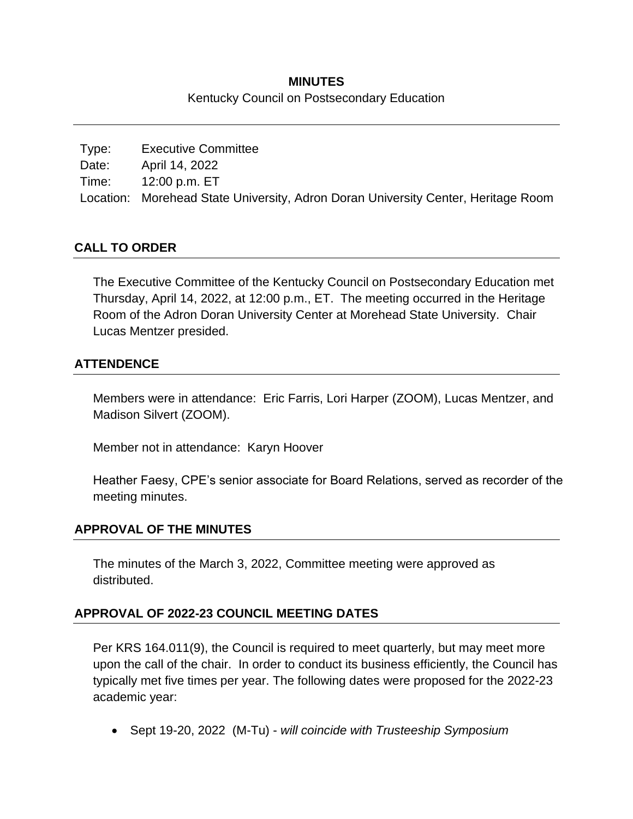# **MINUTES** Kentucky Council on Postsecondary Education

Type: Executive Committee Date: April 14, 2022 Time: 12:00 p.m. ET Location: Morehead State University, Adron Doran University Center, Heritage Room

# **CALL TO ORDER**

The Executive Committee of the Kentucky Council on Postsecondary Education met Thursday, April 14, 2022, at 12:00 p.m., ET. The meeting occurred in the Heritage Room of the Adron Doran University Center at Morehead State University. Chair Lucas Mentzer presided.

# **ATTENDENCE**

Members were in attendance: Eric Farris, Lori Harper (ZOOM), Lucas Mentzer, and Madison Silvert (ZOOM).

Member not in attendance: Karyn Hoover

Heather Faesy, CPE's senior associate for Board Relations, served as recorder of the meeting minutes.

### **APPROVAL OF THE MINUTES**

The minutes of the March 3, 2022, Committee meeting were approved as distributed.

### **APPROVAL OF 2022-23 COUNCIL MEETING DATES**

Per KRS 164.011(9), the Council is required to meet quarterly, but may meet more upon the call of the chair. In order to conduct its business efficiently, the Council has typically met five times per year. The following dates were proposed for the 2022-23 academic year:

• Sept 19-20, 2022 (M-Tu) - *will coincide with Trusteeship Symposium*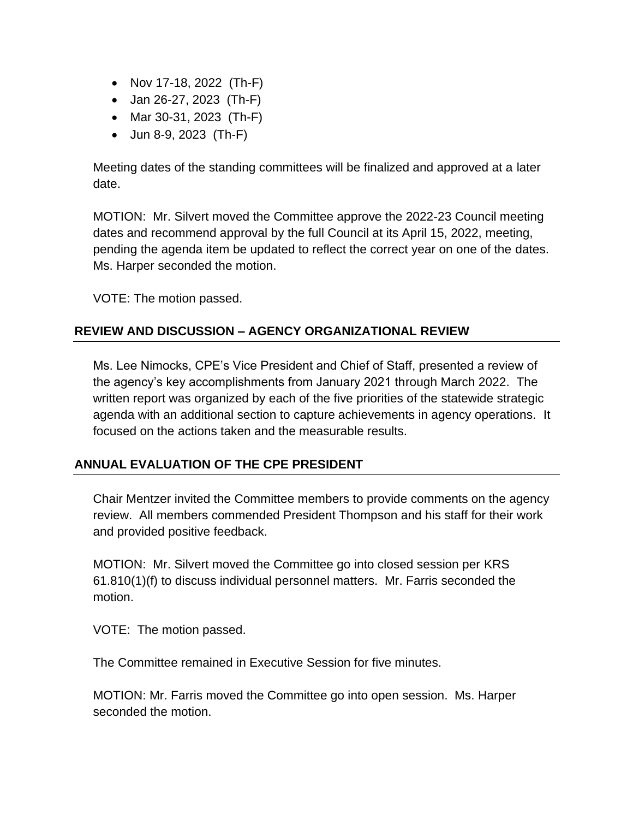- Nov 17-18, 2022 (Th-F)
- Jan 26-27, 2023 (Th-F)
- Mar 30-31, 2023 (Th-F)
- Jun 8-9, 2023 (Th-F)

Meeting dates of the standing committees will be finalized and approved at a later date.

MOTION: Mr. Silvert moved the Committee approve the 2022-23 Council meeting dates and recommend approval by the full Council at its April 15, 2022, meeting, pending the agenda item be updated to reflect the correct year on one of the dates. Ms. Harper seconded the motion.

VOTE: The motion passed.

### **REVIEW AND DISCUSSION – AGENCY ORGANIZATIONAL REVIEW**

Ms. Lee Nimocks, CPE's Vice President and Chief of Staff, presented a review of the agency's key accomplishments from January 2021 through March 2022. The written report was organized by each of the five priorities of the statewide strategic agenda with an additional section to capture achievements in agency operations. It focused on the actions taken and the measurable results.

### **ANNUAL EVALUATION OF THE CPE PRESIDENT**

Chair Mentzer invited the Committee members to provide comments on the agency review. All members commended President Thompson and his staff for their work and provided positive feedback.

MOTION: Mr. Silvert moved the Committee go into closed session per KRS 61.810(1)(f) to discuss individual personnel matters. Mr. Farris seconded the motion.

VOTE: The motion passed.

The Committee remained in Executive Session for five minutes.

MOTION: Mr. Farris moved the Committee go into open session. Ms. Harper seconded the motion.